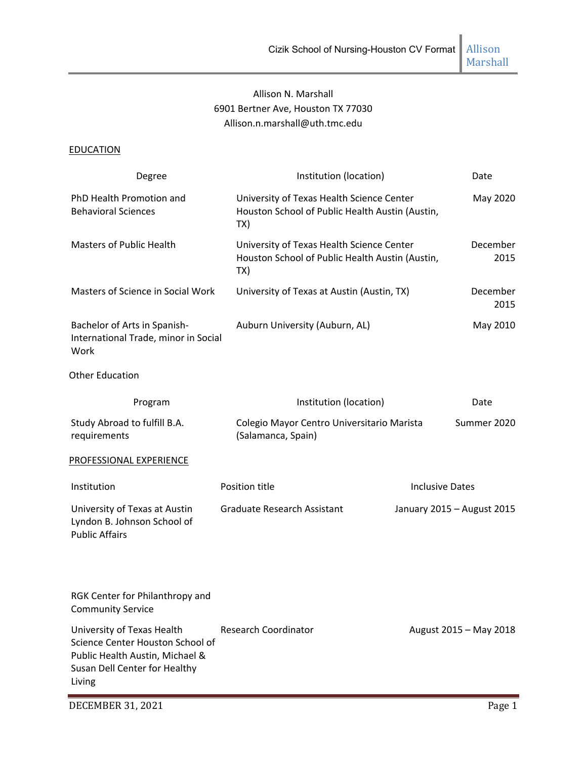# Allison N. Marshall 6901 Bertner Ave, Houston TX 77030 Allison.n.marshall@uth.tmc.edu

## **EDUCATION**

| Degree                                                                                                                                       | Institution (location)                                                                              | Date                       |
|----------------------------------------------------------------------------------------------------------------------------------------------|-----------------------------------------------------------------------------------------------------|----------------------------|
| PhD Health Promotion and<br><b>Behavioral Sciences</b>                                                                                       | University of Texas Health Science Center<br>Houston School of Public Health Austin (Austin,<br>TX) | May 2020                   |
| <b>Masters of Public Health</b>                                                                                                              | University of Texas Health Science Center<br>Houston School of Public Health Austin (Austin,<br>TX) | December<br>2015           |
| Masters of Science in Social Work                                                                                                            | University of Texas at Austin (Austin, TX)                                                          | December<br>2015           |
| Bachelor of Arts in Spanish-<br>International Trade, minor in Social<br>Work                                                                 | Auburn University (Auburn, AL)                                                                      | May 2010                   |
| <b>Other Education</b>                                                                                                                       |                                                                                                     |                            |
| Program                                                                                                                                      | Institution (location)                                                                              | Date                       |
| Study Abroad to fulfill B.A.<br>requirements                                                                                                 | Colegio Mayor Centro Universitario Marista<br>(Salamanca, Spain)                                    | Summer 2020                |
| PROFESSIONAL EXPERIENCE                                                                                                                      |                                                                                                     |                            |
| Institution                                                                                                                                  | Position title                                                                                      | <b>Inclusive Dates</b>     |
| University of Texas at Austin<br>Lyndon B. Johnson School of<br><b>Public Affairs</b>                                                        | <b>Graduate Research Assistant</b>                                                                  | January 2015 - August 2015 |
| RGK Center for Philanthropy and<br><b>Community Service</b>                                                                                  |                                                                                                     |                            |
| University of Texas Health<br>Science Center Houston School of<br>Public Health Austin, Michael &<br>Susan Dell Center for Healthy<br>Living | <b>Research Coordinator</b>                                                                         | August 2015 - May 2018     |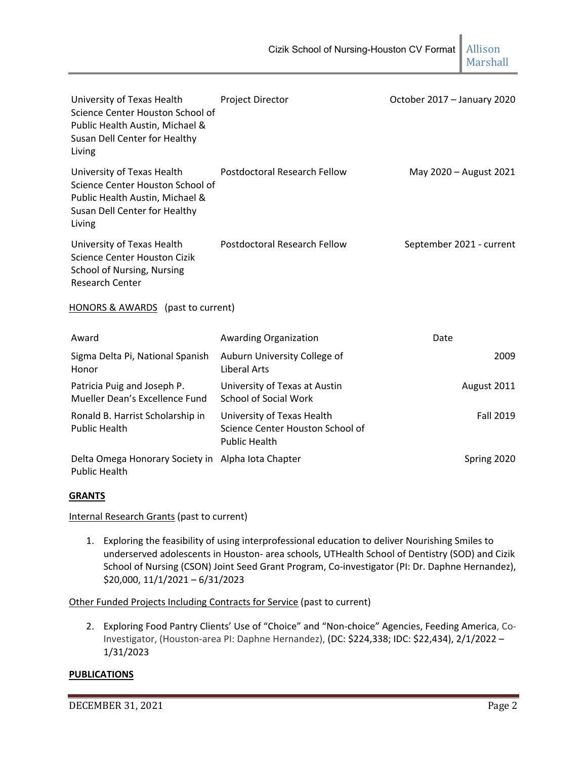| University of Texas Health<br>Science Center Houston School of<br>Public Health Austin, Michael &<br>Susan Dell Center for Healthy<br>Living | <b>Project Director</b>                                                                | October 2017 - January 2020 |
|----------------------------------------------------------------------------------------------------------------------------------------------|----------------------------------------------------------------------------------------|-----------------------------|
| University of Texas Health<br>Science Center Houston School of<br>Public Health Austin, Michael &<br>Susan Dell Center for Healthy<br>Living | Postdoctoral Research Fellow                                                           | May 2020 - August 2021      |
| University of Texas Health<br>Science Center Houston Cizik<br>School of Nursing, Nursing<br><b>Research Center</b>                           | Postdoctoral Research Fellow                                                           | September 2021 - current    |
| HONORS & AWARDS (past to current)                                                                                                            |                                                                                        |                             |
| Award                                                                                                                                        | <b>Awarding Organization</b>                                                           | Date                        |
| Sigma Delta Pi, National Spanish<br>Honor                                                                                                    | Auburn University College of<br><b>Liberal Arts</b>                                    | 2009                        |
| Patricia Puig and Joseph P.<br>Mueller Dean's Excellence Fund                                                                                | University of Texas at Austin<br><b>School of Social Work</b>                          | August 2011                 |
| Ronald B. Harrist Scholarship in<br><b>Public Health</b>                                                                                     | University of Texas Health<br>Science Center Houston School of<br><b>Public Health</b> | Fall 2019                   |
| Delta Omega Honorary Society in Alpha Iota Chapter<br><b>Public Health</b>                                                                   |                                                                                        | Spring 2020                 |

## **GRANTS**

Internal Research Grants (past to current)

1. Exploring the feasibility of using interprofessional education to deliver Nourishing Smiles to underserved adolescents in Houston‐ area schools, UTHealth School of Dentistry (SOD) and Cizik School of Nursing (CSON) Joint Seed Grant Program, Co-investigator (PI: Dr. Daphne Hernandez), \$20,000, 11/1/2021 – 6/31/2023

Other Funded Projects Including Contracts for Service (past to current)

2. Exploring Food Pantry Clients' Use of "Choice" and "Non-choice" Agencies, Feeding America, Co-Investigator, (Houston‐area PI: Daphne Hernandez), (DC: \$224,338; IDC: \$22,434), 2/1/2022 – 1/31/2023

#### **PUBLICATIONS**

DECEMBER 31, 2021 Page 2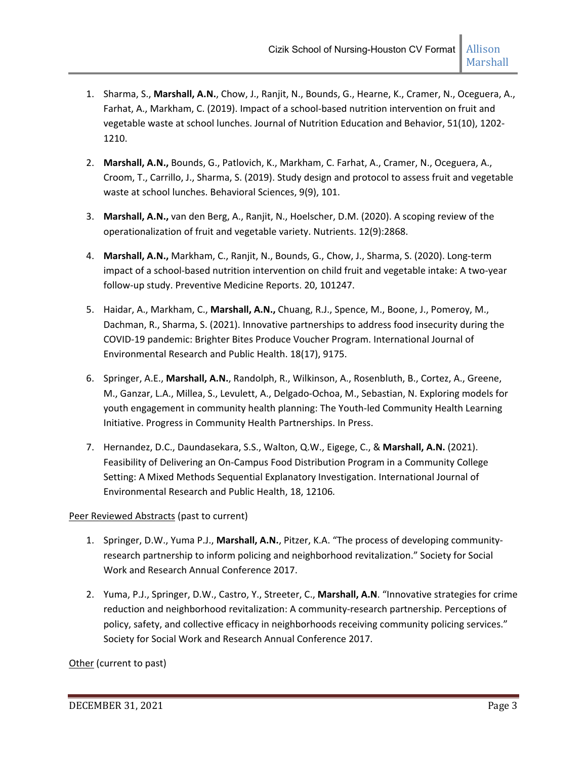- 1. Sharma, S., **Marshall, A.N.**, Chow, J., Ranjit, N., Bounds, G., Hearne, K., Cramer, N., Oceguera, A., Farhat, A., Markham, C. (2019). Impact of a school‐based nutrition intervention on fruit and vegetable waste at school lunches. Journal of Nutrition Education and Behavior, 51(10), 1202‐ 1210.
- 2. **Marshall, A.N.,** Bounds, G., Patlovich, K., Markham, C. Farhat, A., Cramer, N., Oceguera, A., Croom, T., Carrillo, J., Sharma, S. (2019). Study design and protocol to assess fruit and vegetable waste at school lunches. Behavioral Sciences, 9(9), 101.
- 3. **Marshall, A.N.,** van den Berg, A., Ranjit, N., Hoelscher, D.M. (2020). A scoping review of the operationalization of fruit and vegetable variety. Nutrients. 12(9):2868.
- 4. **Marshall, A.N.,** Markham, C., Ranjit, N., Bounds, G., Chow, J., Sharma, S. (2020). Long‐term impact of a school‐based nutrition intervention on child fruit and vegetable intake: A two‐year follow‐up study. Preventive Medicine Reports. 20, 101247.
- 5. Haidar, A., Markham, C., **Marshall, A.N.,** Chuang, R.J., Spence, M., Boone, J., Pomeroy, M., Dachman, R., Sharma, S. (2021). Innovative partnerships to address food insecurity during the COVID‐19 pandemic: Brighter Bites Produce Voucher Program. International Journal of Environmental Research and Public Health. 18(17), 9175.
- 6. Springer, A.E., **Marshall, A.N.**, Randolph, R., Wilkinson, A., Rosenbluth, B., Cortez, A., Greene, M., Ganzar, L.A., Millea, S., Levulett, A., Delgado‐Ochoa, M., Sebastian, N. Exploring models for youth engagement in community health planning: The Youth‐led Community Health Learning Initiative. Progress in Community Health Partnerships. In Press.
- 7. Hernandez, D.C., Daundasekara, S.S., Walton, Q.W., Eigege, C., & **Marshall, A.N.** (2021). Feasibility of Delivering an On‐Campus Food Distribution Program in a Community College Setting: A Mixed Methods Sequential Explanatory Investigation. International Journal of Environmental Research and Public Health, 18, 12106*.*

## Peer Reviewed Abstracts (past to current)

- 1. Springer, D.W., Yuma P.J., **Marshall, A.N.**, Pitzer, K.A. "The process of developing community‐ research partnership to inform policing and neighborhood revitalization." Society for Social Work and Research Annual Conference 2017.
- 2. Yuma, P.J., Springer, D.W., Castro, Y., Streeter, C., **Marshall, A.N**. "Innovative strategies for crime reduction and neighborhood revitalization: A community‐research partnership. Perceptions of policy, safety, and collective efficacy in neighborhoods receiving community policing services." Society for Social Work and Research Annual Conference 2017.

Other (current to past)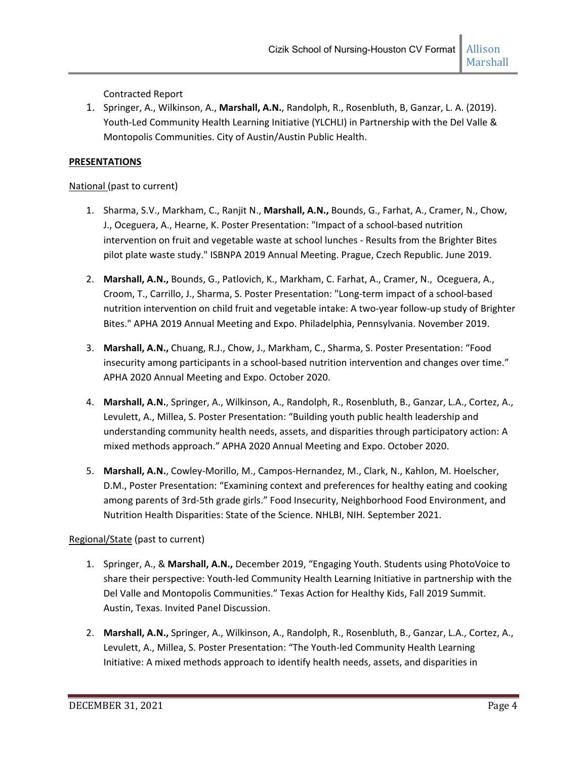Contracted Report

1. Springer, A., Wilkinson, A., **Marshall, A.N.**, Randolph, R., Rosenbluth, B, Ganzar, L. A. (2019). Youth‐Led Community Health Learning Initiative (YLCHLI) in Partnership with the Del Valle & Montopolis Communities. City of Austin/Austin Public Health.

## **PRESENTATIONS**

## National (past to current)

- 1. Sharma, S.V., Markham, C., Ranjit N., **Marshall, A.N.,** Bounds, G., Farhat, A., Cramer, N., Chow, J., Oceguera, A., Hearne, K. Poster Presentation: "Impact of a school‐based nutrition intervention on fruit and vegetable waste at school lunches ‐ Results from the Brighter Bites pilot plate waste study." ISBNPA 2019 Annual Meeting. Prague, Czech Republic. June 2019.
- 2. **Marshall, A.N.,** Bounds, G., Patlovich, K., Markham, C. Farhat, A., Cramer, N., Oceguera, A., Croom, T., Carrillo, J., Sharma, S. Poster Presentation: "Long‐term impact of a school‐based nutrition intervention on child fruit and vegetable intake: A two‐year follow‐up study of Brighter Bites." APHA 2019 Annual Meeting and Expo. Philadelphia, Pennsylvania. November 2019.
- 3. **Marshall, A.N.,** Chuang, R.J., Chow, J., Markham, C., Sharma, S. Poster Presentation: "Food insecurity among participants in a school-based nutrition intervention and changes over time." APHA 2020 Annual Meeting and Expo. October 2020.
- 4. **Marshall, A.N.**, Springer, A., Wilkinson, A., Randolph, R., Rosenbluth, B., Ganzar, L.A., Cortez, A., Levulett, A., Millea, S. Poster Presentation: "Building youth public health leadership and understanding community health needs, assets, and disparities through participatory action: A mixed methods approach." APHA 2020 Annual Meeting and Expo. October 2020.
- 5. **Marshall, A.N.**, Cowley‐Morillo, M., Campos‐Hernandez, M., Clark, N., Kahlon, M. Hoelscher, D.M., Poster Presentation: "Examining context and preferences for healthy eating and cooking among parents of 3rd‐5th grade girls." Food Insecurity, Neighborhood Food Environment, and Nutrition Health Disparities: State of the Science. NHLBI, NIH. September 2021.

## Regional/State (past to current)

- 1. Springer, A., & **Marshall, A.N.,** December 2019, "Engaging Youth. Students using PhotoVoice to share their perspective: Youth‐led Community Health Learning Initiative in partnership with the Del Valle and Montopolis Communities." Texas Action for Healthy Kids, Fall 2019 Summit. Austin, Texas. Invited Panel Discussion.
- 2. **Marshall, A.N.,** Springer, A., Wilkinson, A., Randolph, R., Rosenbluth, B., Ganzar, L.A., Cortez, A., Levulett, A., Millea, S. Poster Presentation: "The Youth‐led Community Health Learning Initiative: A mixed methods approach to identify health needs, assets, and disparities in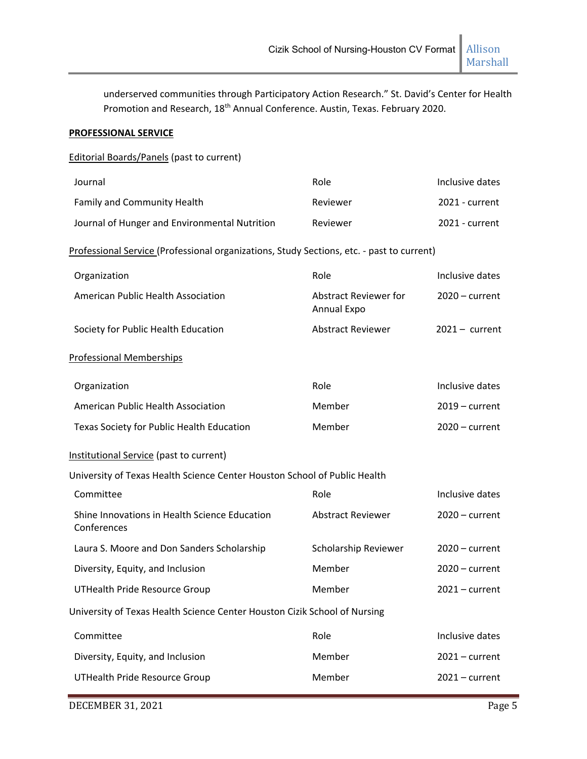Marshall

underserved communities through Participatory Action Research." St. David's Center for Health Promotion and Research, 18<sup>th</sup> Annual Conference. Austin, Texas. February 2020.

## **PROFESSIONAL SERVICE**

Editorial Boards/Panels (past to current)

| Role                                        | Inclusive dates                                                                                                                                                                                                                                     |
|---------------------------------------------|-----------------------------------------------------------------------------------------------------------------------------------------------------------------------------------------------------------------------------------------------------|
| Reviewer                                    | 2021 - current                                                                                                                                                                                                                                      |
| Reviewer                                    | 2021 - current                                                                                                                                                                                                                                      |
|                                             |                                                                                                                                                                                                                                                     |
| Role                                        | Inclusive dates                                                                                                                                                                                                                                     |
| <b>Abstract Reviewer for</b><br>Annual Expo | $2020$ – current                                                                                                                                                                                                                                    |
| <b>Abstract Reviewer</b>                    | $2021 - current$                                                                                                                                                                                                                                    |
|                                             |                                                                                                                                                                                                                                                     |
| Role                                        | Inclusive dates                                                                                                                                                                                                                                     |
| Member                                      | $2019$ – current                                                                                                                                                                                                                                    |
| Member                                      | $2020$ – current                                                                                                                                                                                                                                    |
|                                             |                                                                                                                                                                                                                                                     |
|                                             |                                                                                                                                                                                                                                                     |
| Role                                        | Inclusive dates                                                                                                                                                                                                                                     |
| <b>Abstract Reviewer</b>                    | $2020$ – current                                                                                                                                                                                                                                    |
| Scholarship Reviewer                        | $2020 - current$                                                                                                                                                                                                                                    |
| Member                                      | $2020$ – current                                                                                                                                                                                                                                    |
| Member                                      | $2021$ – current                                                                                                                                                                                                                                    |
|                                             |                                                                                                                                                                                                                                                     |
| Role                                        | Inclusive dates                                                                                                                                                                                                                                     |
| Member                                      | $2021$ – current                                                                                                                                                                                                                                    |
| Member                                      | $2021$ – current                                                                                                                                                                                                                                    |
|                                             | Professional Service (Professional organizations, Study Sections, etc. - past to current)<br>University of Texas Health Science Center Houston School of Public Health<br>University of Texas Health Science Center Houston Cizik School of Nursing |